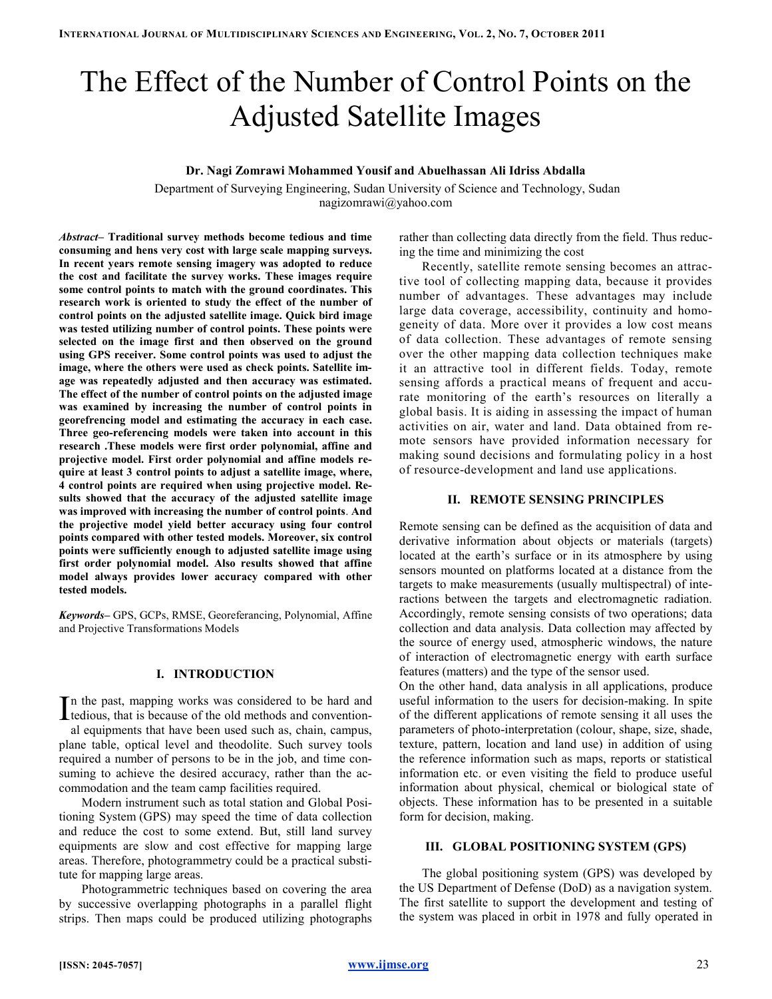# The Effect of the Number of Control Points on the Adjusted Satellite Images

## Dr. Nagi Zomrawi Mohammed Yousif and Abuelhassan Ali Idriss Abdalla

Department of Surveying Engineering, Sudan University of Science and Technology, Sudan nagizomrawi@yahoo.com

Abstract– Traditional survey methods become tedious and time consuming and hens very cost with large scale mapping surveys. In recent years remote sensing imagery was adopted to reduce the cost and facilitate the survey works. These images require some control points to match with the ground coordinates. This research work is oriented to study the effect of the number of control points on the adjusted satellite image. Quick bird image was tested utilizing number of control points. These points were selected on the image first and then observed on the ground using GPS receiver. Some control points was used to adjust the image, where the others were used as check points. Satellite image was repeatedly adjusted and then accuracy was estimated. The effect of the number of control points on the adjusted image was examined by increasing the number of control points in georefrencing model and estimating the accuracy in each case. Three geo-referencing models were taken into account in this research .These models were first order polynomial, affine and projective model. First order polynomial and affine models require at least 3 control points to adjust a satellite image, where, 4 control points are required when using projective model. Results showed that the accuracy of the adjusted satellite image was improved with increasing the number of control points. And the projective model yield better accuracy using four control points compared with other tested models. Moreover, six control points were sufficiently enough to adjusted satellite image using first order polynomial model. Also results showed that affine model always provides lower accuracy compared with other tested models.

Keywords– GPS, GCPs, RMSE, Georeferancing, Polynomial, Affine and Projective Transformations Models

# I. INTRODUCTION

n the past, mapping works was considered to be hard and In the past, mapping works was considered to be hard and tedious, that is because of the old methods and convention-

al equipments that have been used such as, chain, campus, plane table, optical level and theodolite. Such survey tools required a number of persons to be in the job, and time consuming to achieve the desired accuracy, rather than the accommodation and the team camp facilities required.

Modern instrument such as total station and Global Positioning System (GPS) may speed the time of data collection and reduce the cost to some extend. But, still land survey equipments are slow and cost effective for mapping large areas. Therefore, photogrammetry could be a practical substitute for mapping large areas.

Photogrammetric techniques based on covering the area by successive overlapping photographs in a parallel flight strips. Then maps could be produced utilizing photographs

rather than collecting data directly from the field. Thus reducing the time and minimizing the cost

Recently, satellite remote sensing becomes an attractive tool of collecting mapping data, because it provides number of advantages. These advantages may include large data coverage, accessibility, continuity and homogeneity of data. More over it provides a low cost means of data collection. These advantages of remote sensing over the other mapping data collection techniques make it an attractive tool in different fields. Today, remote sensing affords a practical means of frequent and accurate monitoring of the earth's resources on literally a global basis. It is aiding in assessing the impact of human activities on air, water and land. Data obtained from remote sensors have provided information necessary for making sound decisions and formulating policy in a host of resource-development and land use applications.

# II. REMOTE SENSING PRINCIPLES

Remote sensing can be defined as the acquisition of data and derivative information about objects or materials (targets) located at the earth's surface or in its atmosphere by using sensors mounted on platforms located at a distance from the targets to make measurements (usually multispectral) of interactions between the targets and electromagnetic radiation. Accordingly, remote sensing consists of two operations; data collection and data analysis. Data collection may affected by the source of energy used, atmospheric windows, the nature of interaction of electromagnetic energy with earth surface features (matters) and the type of the sensor used.

On the other hand, data analysis in all applications, produce useful information to the users for decision-making. In spite of the different applications of remote sensing it all uses the parameters of photo-interpretation (colour, shape, size, shade, texture, pattern, location and land use) in addition of using the reference information such as maps, reports or statistical information etc. or even visiting the field to produce useful information about physical, chemical or biological state of objects. These information has to be presented in a suitable form for decision, making.

## III. GLOBAL POSITIONING SYSTEM (GPS)

The global positioning system (GPS) was developed by the US Department of Defense (DoD) as a navigation system. The first satellite to support the development and testing of the system was placed in orbit in 1978 and fully operated in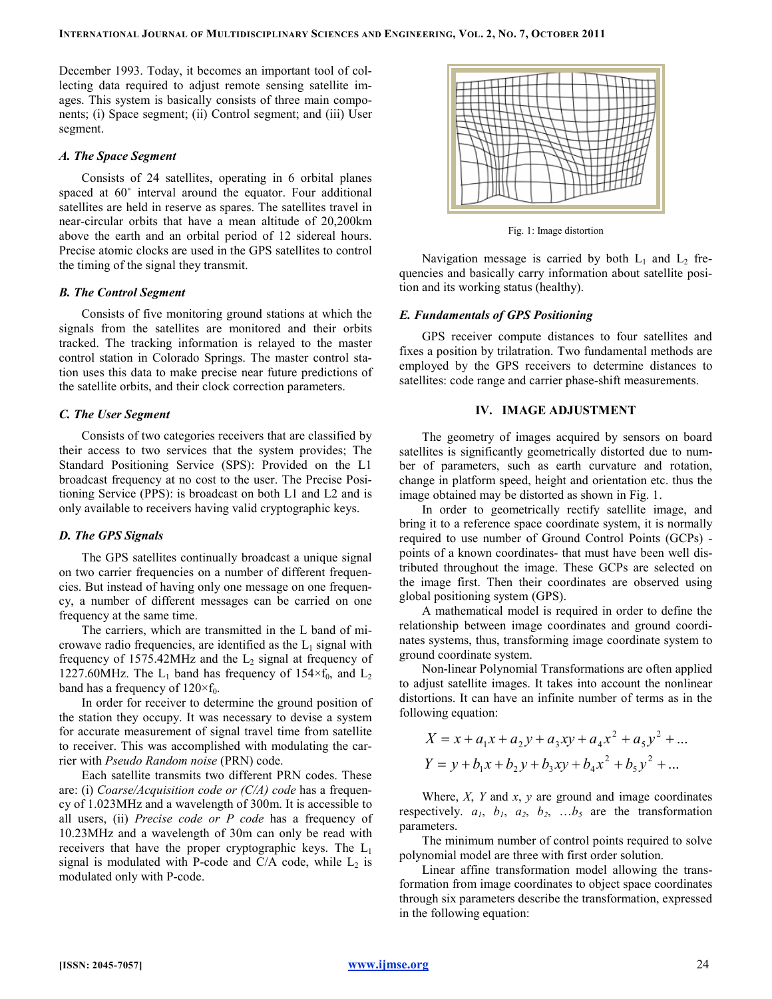December 1993. Today, it becomes an important tool of collecting data required to adjust remote sensing satellite images. This system is basically consists of three main components; (i) Space segment; (ii) Control segment; and (iii) User segment.

## A. The Space Segment

Consists of 24 satellites, operating in 6 orbital planes spaced at 60˚ interval around the equator. Four additional satellites are held in reserve as spares. The satellites travel in near-circular orbits that have a mean altitude of 20,200km above the earth and an orbital period of 12 sidereal hours. Precise atomic clocks are used in the GPS satellites to control the timing of the signal they transmit.

## B. The Control Segment

Consists of five monitoring ground stations at which the signals from the satellites are monitored and their orbits tracked. The tracking information is relayed to the master control station in Colorado Springs. The master control station uses this data to make precise near future predictions of the satellite orbits, and their clock correction parameters.

# C. The User Segment

Consists of two categories receivers that are classified by their access to two services that the system provides; The Standard Positioning Service (SPS): Provided on the L1 broadcast frequency at no cost to the user. The Precise Positioning Service (PPS): is broadcast on both L1 and L2 and is only available to receivers having valid cryptographic keys.

#### D. The GPS Signals

The GPS satellites continually broadcast a unique signal on two carrier frequencies on a number of different frequencies. But instead of having only one message on one frequency, a number of different messages can be carried on one frequency at the same time.

The carriers, which are transmitted in the L band of microwave radio frequencies, are identified as the  $L_1$  signal with frequency of 1575.42MHz and the  $L_2$  signal at frequency of 1227.60MHz. The  $L_1$  band has frequency of 154 $\times$ f<sub>0</sub>, and  $L_2$ band has a frequency of  $120 \times f_0$ .

In order for receiver to determine the ground position of the station they occupy. It was necessary to devise a system for accurate measurement of signal travel time from satellite to receiver. This was accomplished with modulating the carrier with Pseudo Random noise (PRN) code.

Each satellite transmits two different PRN codes. These are: (i) Coarse/Acquisition code or  $(C/A)$  code has a frequency of 1.023MHz and a wavelength of 300m. It is accessible to all users, (ii) Precise code or  $P$  code has a frequency of 10.23MHz and a wavelength of 30m can only be read with receivers that have the proper cryptographic keys. The  $L_1$ signal is modulated with P-code and C/A code, while  $L_2$  is modulated only with P-code.



Fig. 1: Image distortion

Navigation message is carried by both  $L_1$  and  $L_2$  frequencies and basically carry information about satellite position and its working status (healthy).

## E. Fundamentals of GPS Positioning

GPS receiver compute distances to four satellites and fixes a position by trilatration. Two fundamental methods are employed by the GPS receivers to determine distances to satellites: code range and carrier phase-shift measurements.

# IV. IMAGE ADJUSTMENT

The geometry of images acquired by sensors on board satellites is significantly geometrically distorted due to number of parameters, such as earth curvature and rotation, change in platform speed, height and orientation etc. thus the image obtained may be distorted as shown in Fig. 1.

In order to geometrically rectify satellite image, and bring it to a reference space coordinate system, it is normally required to use number of Ground Control Points (GCPs) points of a known coordinates- that must have been well distributed throughout the image. These GCPs are selected on the image first. Then their coordinates are observed using global positioning system (GPS).

A mathematical model is required in order to define the relationship between image coordinates and ground coordinates systems, thus, transforming image coordinate system to ground coordinate system.

Non-linear Polynomial Transformations are often applied to adjust satellite images. It takes into account the nonlinear distortions. It can have an infinite number of terms as in the following equation:

$$
X = x + a_1 x + a_2 y + a_3 xy + a_4 x^2 + a_5 y^2 + \dots
$$
  
\n
$$
Y = y + b_1 x + b_2 y + b_3 xy + b_4 x^2 + b_5 y^2 + \dots
$$

Where,  $X$ ,  $Y$  and  $x$ ,  $y$  are ground and image coordinates respectively.  $a_1$ ,  $b_1$ ,  $a_2$ ,  $b_2$ , ... $b_5$  are the transformation parameters.

The minimum number of control points required to solve polynomial model are three with first order solution.

Linear affine transformation model allowing the transformation from image coordinates to object space coordinates through six parameters describe the transformation, expressed in the following equation: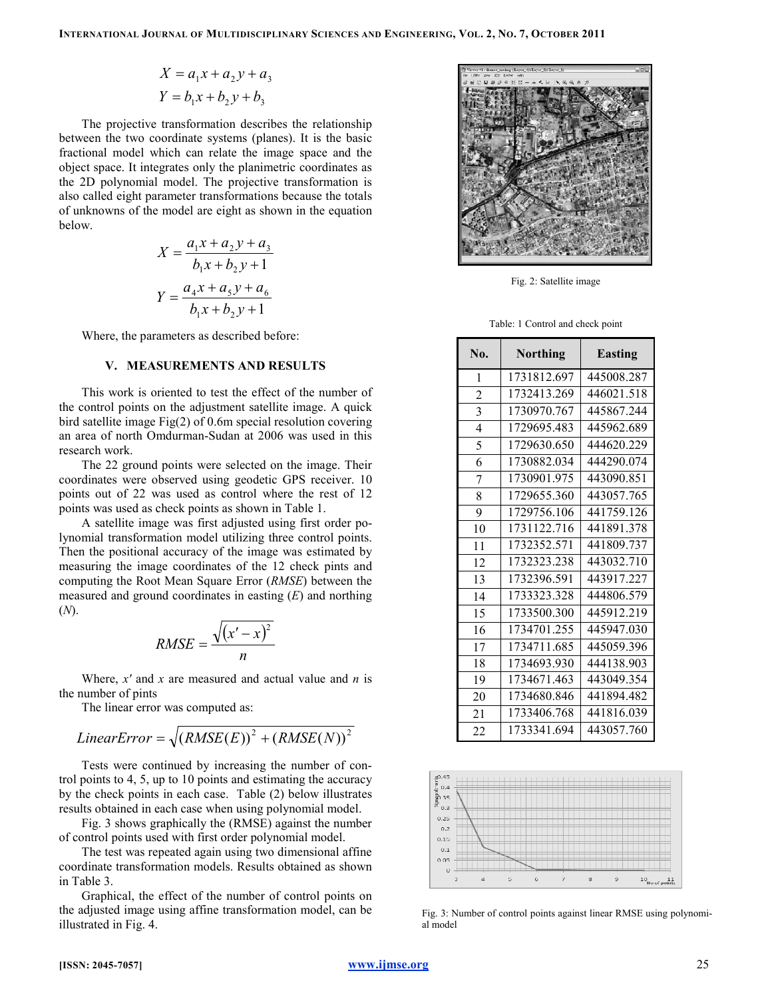$$
X = a_1 x + a_2 y + a_3
$$
  

$$
Y = b_1 x + b_2 y + b_3
$$

The projective transformation describes the relationship between the two coordinate systems (planes). It is the basic fractional model which can relate the image space and the object space. It integrates only the planimetric coordinates as the 2D polynomial model. The projective transformation is also called eight parameter transformations because the totals of unknowns of the model are eight as shown in the equation below.

$$
X = \frac{a_1x + a_2y + a_3}{b_1x + b_2y + 1}
$$

$$
Y = \frac{a_4x + a_5y + a_6}{b_1x + b_2y + 1}
$$

Where, the parameters as described before:

## V. MEASUREMENTS AND RESULTS

This work is oriented to test the effect of the number of the control points on the adjustment satellite image. A quick bird satellite image Fig(2) of 0.6m special resolution covering an area of north Omdurman-Sudan at 2006 was used in this research work.

The 22 ground points were selected on the image. Their coordinates were observed using geodetic GPS receiver. 10 points out of 22 was used as control where the rest of 12 points was used as check points as shown in Table 1.

A satellite image was first adjusted using first order polynomial transformation model utilizing three control points. Then the positional accuracy of the image was estimated by measuring the image coordinates of the 12 check pints and computing the Root Mean Square Error (RMSE) between the measured and ground coordinates in easting  $(E)$  and northing (N).

$$
RMSE = \frac{\sqrt{(x'-x)^2}}{n}
$$

Where,  $x'$  and  $x$  are measured and actual value and  $n$  is the number of pints

The linear error was computed as:

$$
LinearError = \sqrt{(RMSE(E))^2 + (RMSE(N))^2}
$$

Tests were continued by increasing the number of control points to 4, 5, up to 10 points and estimating the accuracy by the check points in each case. Table (2) below illustrates results obtained in each case when using polynomial model.

Fig. 3 shows graphically the (RMSE) against the number of control points used with first order polynomial model.

The test was repeated again using two dimensional affine coordinate transformation models. Results obtained as shown in Table 3.

Graphical, the effect of the number of control points on the adjusted image using affine transformation model, can be illustrated in Fig. 4.



Fig. 2: Satellite image

Table: 1 Control and check point

| No. | Northing    | Easting    |
|-----|-------------|------------|
| 1   | 1731812.697 | 445008.287 |
| 2   | 1732413.269 | 446021.518 |
| 3   | 1730970.767 | 445867.244 |
| 4   | 1729695.483 | 445962.689 |
| 5   | 1729630.650 | 444620.229 |
| 6   | 1730882.034 | 444290.074 |
| 7   | 1730901.975 | 443090.851 |
| 8   | 1729655.360 | 443057.765 |
| 9   | 1729756.106 | 441759.126 |
| 10  | 1731122.716 | 441891.378 |
| 11  | 1732352.571 | 441809.737 |
| 12  | 1732323.238 | 443032.710 |
| 13  | 1732396.591 | 443917.227 |
| 14  | 1733323.328 | 444806.579 |
| 15  | 1733500.300 | 445912.219 |
| 16  | 1734701.255 | 445947.030 |
| 17  | 1734711.685 | 445059.396 |
| 18  | 1734693.930 | 444138.903 |
| 19  | 1734671.463 | 443049.354 |
| 20  | 1734680.846 | 441894.482 |
| 21  | 1733406.768 | 441816.039 |
| 22  | 1733341.694 | 443057.760 |



Fig. 3: Number of control points against linear RMSE using polynomial model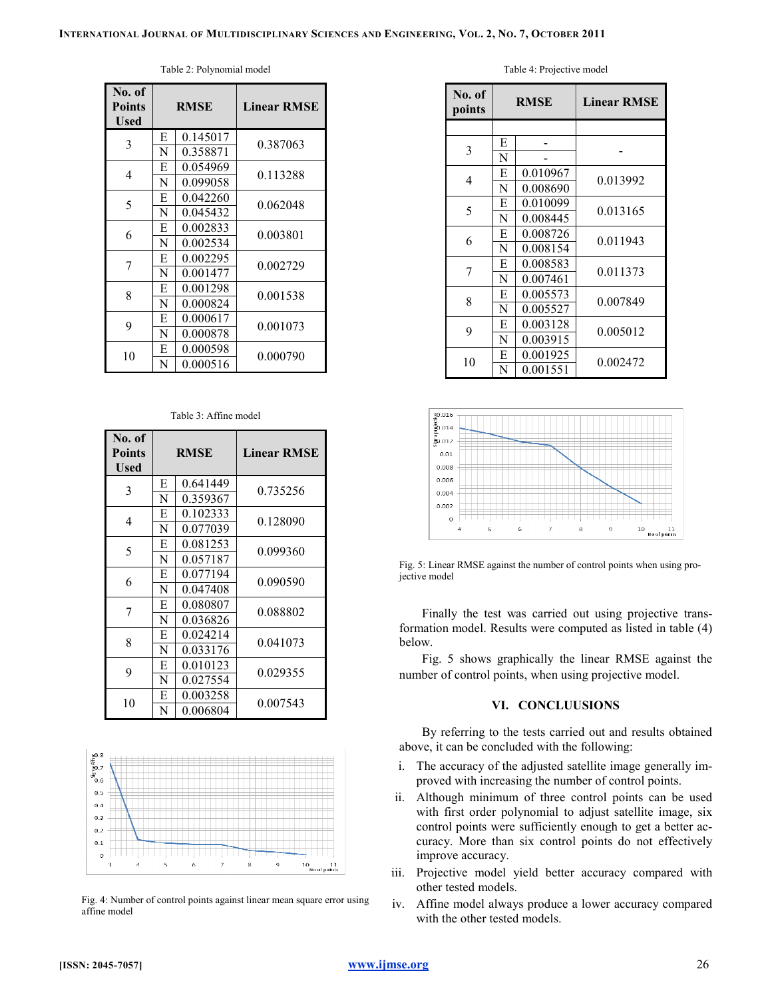| No. of<br><b>Points</b><br>Used | <b>RMSE</b> |          | <b>Linear RMSE</b> |
|---------------------------------|-------------|----------|--------------------|
| 3                               | E           | 0.145017 | 0.387063           |
|                                 | N           | 0.358871 |                    |
| 4                               | E           | 0.054969 | 0.113288           |
|                                 | N           | 0.099058 |                    |
| 5                               | Е           | 0.042260 | 0.062048           |
|                                 | N           | 0.045432 |                    |
| 6                               | E           | 0.002833 | 0.003801           |
|                                 | N           | 0.002534 |                    |
| 7                               | E           | 0.002295 |                    |
|                                 | N           | 0.001477 | 0.002729           |
| 8                               | Е           | 0.001298 |                    |
|                                 | N           | 0.000824 | 0.001538           |
| 9                               | E           | 0.000617 |                    |
|                                 | N           | 0.000878 | 0.001073           |
| 10                              | E           | 0.000598 |                    |
|                                 | N           | 0.000516 | 0.000790           |

Table 2: Polynomial model

#### Table 3: Affine model

| No. of<br><b>Points</b><br>Used |   | <b>RMSE</b> | <b>Linear RMSE</b> |
|---------------------------------|---|-------------|--------------------|
| 3                               | E | 0.641449    | 0.735256           |
|                                 | N | 0.359367    |                    |
| 4                               | E | 0.102333    | 0.128090           |
|                                 | N | 0.077039    |                    |
| 5                               | E | 0.081253    | 0.099360           |
|                                 | N | 0.057187    |                    |
| 6                               | E | 0.077194    | 0.090590           |
|                                 | N | 0.047408    |                    |
| 7                               | E | 0.080807    | 0.088802           |
|                                 | N | 0.036826    |                    |
| 8                               | E | 0.024214    |                    |
|                                 | N | 0.033176    | 0.041073           |
| 9                               | Е | 0.010123    | 0.029355           |
|                                 | N | 0.027554    |                    |
| 10                              | E | 0.003258    | 0.007543           |
|                                 | N | 0.006804    |                    |



Fig. 4: Number of control points against linear mean square error using affine model

Table 4: Projective model

| No. of<br>points |   | <b>RMSE</b> | <b>Linear RMSE</b> |
|------------------|---|-------------|--------------------|
|                  |   |             |                    |
| 3                | E |             |                    |
|                  | N |             |                    |
| 4                | Е | 0.010967    | 0.013992           |
|                  | N | 0.008690    |                    |
| 5                | Е | 0.010099    | 0.013165           |
|                  | N | 0.008445    |                    |
| 6                | E | 0.008726    | 0.011943           |
|                  | N | 0.008154    |                    |
| 7                | E | 0.008583    | 0.011373           |
|                  | N | 0.007461    |                    |
| 8                | Е | 0.005573    | 0.007849           |
|                  | N | 0.005527    |                    |
| 9                | Е | 0.003128    | 0.005012           |
|                  | N | 0.003915    |                    |
| 10               | E | 0.001925    | 0.002472           |
|                  | N | 0.001551    |                    |



Fig. 5: Linear RMSE against the number of control points when using projective model

Finally the test was carried out using projective transformation model. Results were computed as listed in table (4) below.

Fig. 5 shows graphically the linear RMSE against the number of control points, when using projective model.

## VI. CONCLUUSIONS

By referring to the tests carried out and results obtained above, it can be concluded with the following:

- i. The accuracy of the adjusted satellite image generally improved with increasing the number of control points.
- ii. Although minimum of three control points can be used with first order polynomial to adjust satellite image, six control points were sufficiently enough to get a better accuracy. More than six control points do not effectively improve accuracy.
- iii. Projective model yield better accuracy compared with other tested models.
- iv. Affine model always produce a lower accuracy compared with the other tested models.